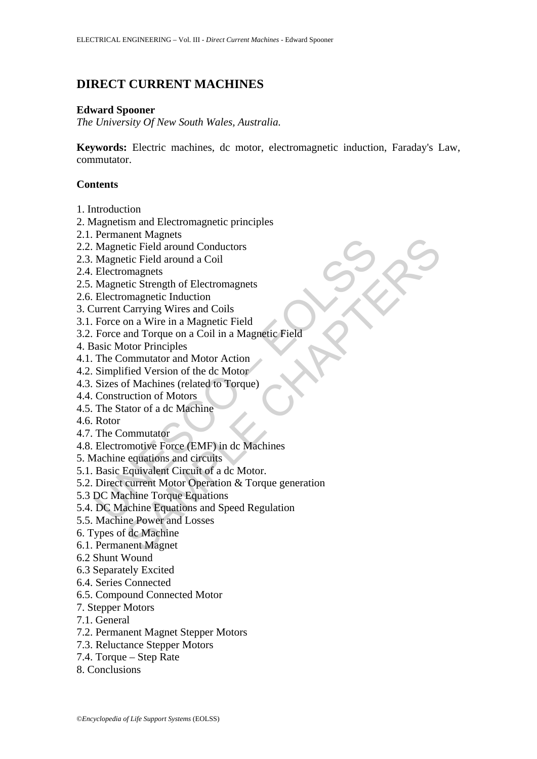# **DIRECT CURRENT MACHINES**

# **Edward Spooner**

*The University Of New South Wales, Australia.* 

**Keywords:** Electric machines, dc motor, electromagnetic induction, Faraday's Law, commutator.

# **Contents**

- 1. Introduction
- 2. Magnetism and Electromagnetic principles
- 2.1. Permanent Magnets
- 2.2. Magnetic Field around Conductors
- 2.3. Magnetic Field around a Coil
- 2.4. Electromagnets
- 2.5. Magnetic Strength of Electromagnets
- 2.6. Electromagnetic Induction
- 3. Current Carrying Wires and Coils
- 3.1. Force on a Wire in a Magnetic Field
- 3.2. Force and Torque on a Coil in a Magnetic Field
- 4. Basic Motor Principles
- 4.1. The Commutator and Motor Action
- 4.2. Simplified Version of the dc Motor
- 4.3. Sizes of Machines (related to Torque)
- 4.4. Construction of Motors
- 4.5. The Stator of a dc Machine
- 4.6. Rotor
- 4.7. The Commutator
- 4.8. Electromotive Force (EMF) in dc Machines
- 5. Machine equations and circuits
- 5.1. Basic Equivalent Circuit of a dc Motor.
- Familien Traggeton<br>
Magnetic Field around Conductors<br>
Magnetic Field around a Coil<br>
Electromagnets<br>
Electromagnetic Induction<br>
Electromagnetic Induction<br>
Electromagnetic Induction<br>
Electromagnetic Induction<br>
Electromagneti enter Magnets<br>
enter Eigl around Conductors<br>
tric Field around a Coil<br>
magnetic Strength of Electromagnets<br>
oma are in a Magnetic Field<br>
coma Wire in a Magnetic Field<br>
coror Principles<br>
coma Coil in a Magnetic Field<br>
coror 5.2. Direct current Motor Operation & Torque generation
- 5.3 DC Machine Torque Equations
- 5.4. DC Machine Equations and Speed Regulation
- 5.5. Machine Power and Losses
- 6. Types of dc Machine
- 6.1. Permanent Magnet
- 6.2 Shunt Wound
- 6.3 Separately Excited
- 6.4. Series Connected
- 6.5. Compound Connected Motor
- 7. Stepper Motors
- 7.1. General
- 7.2. Permanent Magnet Stepper Motors
- 7.3. Reluctance Stepper Motors
- 7.4. Torque Step Rate
- 8. Conclusions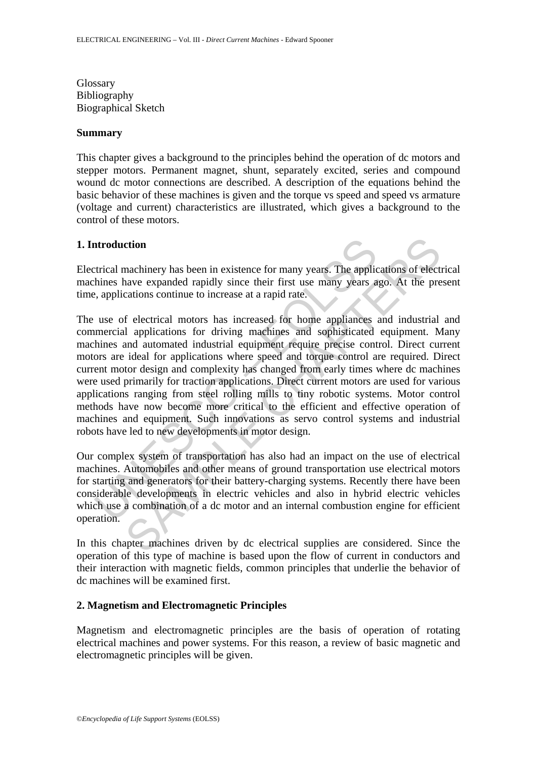Glossary Bibliography Biographical Sketch

#### **Summary**

This chapter gives a background to the principles behind the operation of dc motors and stepper motors. Permanent magnet, shunt, separately excited, series and compound wound dc motor connections are described. A description of the equations behind the basic behavior of these machines is given and the torque vs speed and speed vs armature (voltage and current) characteristics are illustrated, which gives a background to the control of these motors.

#### **1. Introduction**

Electrical machinery has been in existence for many years. The applications of electrical machines have expanded rapidly since their first use many years ago. At the present time, applications continue to increase at a rapid rate.

attroduction<br>trical machinery has been in existence for many years. The applic<br>thines have expanded rapidly since their first use many years a<br>e, applications continue to increase at a rapid rate.<br>use of electrical motors ction<br>machinery has been in existence for many years. The applications of electave<br>e expanded rapidly since their first use many years ago. At the pre<br>cations continue to increase at a rapid rate.<br>f electrical motors has i The use of electrical motors has increased for home appliances and industrial and commercial applications for driving machines and sophisticated equipment. Many machines and automated industrial equipment require precise control. Direct current motors are ideal for applications where speed and torque control are required. Direct current motor design and complexity has changed from early times where dc machines were used primarily for traction applications. Direct current motors are used for various applications ranging from steel rolling mills to tiny robotic systems. Motor control methods have now become more critical to the efficient and effective operation of machines and equipment. Such innovations as servo control systems and industrial robots have led to new developments in motor design.

Our complex system of transportation has also had an impact on the use of electrical machines. Automobiles and other means of ground transportation use electrical motors for starting and generators for their battery-charging systems. Recently there have been considerable developments in electric vehicles and also in hybrid electric vehicles which use a combination of a dc motor and an internal combustion engine for efficient operation.

In this chapter machines driven by dc electrical supplies are considered. Since the operation of this type of machine is based upon the flow of current in conductors and their interaction with magnetic fields, common principles that underlie the behavior of dc machines will be examined first.

#### **2. Magnetism and Electromagnetic Principles**

Magnetism and electromagnetic principles are the basis of operation of rotating electrical machines and power systems. For this reason, a review of basic magnetic and electromagnetic principles will be given.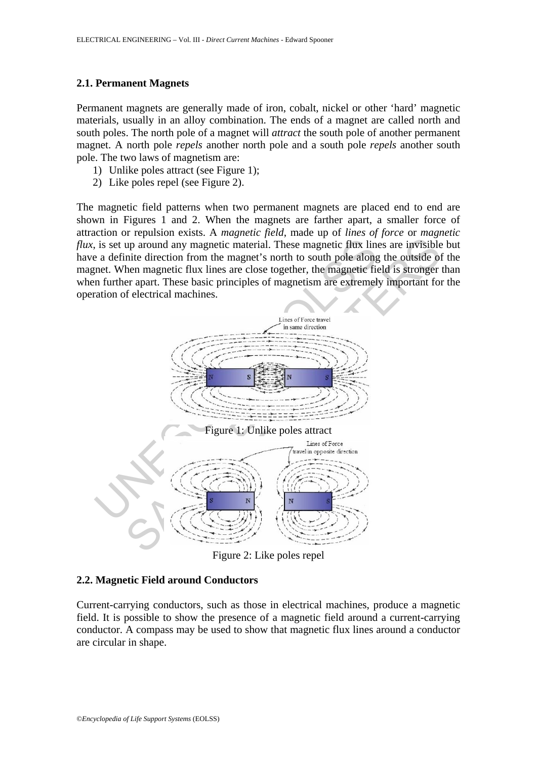#### **2.1. Permanent Magnets**

Permanent magnets are generally made of iron, cobalt, nickel or other 'hard' magnetic materials, usually in an alloy combination. The ends of a magnet are called north and south poles. The north pole of a magnet will *attract* the south pole of another permanent magnet. A north pole *repels* another north pole and a south pole *repels* another south pole. The two laws of magnetism are:

- 1) Unlike poles attract (see Figure 1);
- 2) Like poles repel (see Figure 2).

The magnetic field patterns when two permanent magnets are placed end to end are shown in Figures 1 and 2. When the magnets are farther apart, a smaller force of attraction or repulsion exists. A *magnetic field*, made up of *lines of force* or *magnetic flux*, is set up around any magnetic material. These magnetic flux lines are invisible but have a definite direction from the magnet's north to south pole along the outside of the magnet. When magnetic flux lines are close together, the magnetic field is stronger than when further apart. These basic principles of magnetism are extremely important for the operation of electrical machines.



Figure 2: Like poles repel

## **2.2. Magnetic Field around Conductors**

Current-carrying conductors, such as those in electrical machines, produce a magnetic field. It is possible to show the presence of a magnetic field around a current-carrying conductor. A compass may be used to show that magnetic flux lines around a conductor are circular in shape.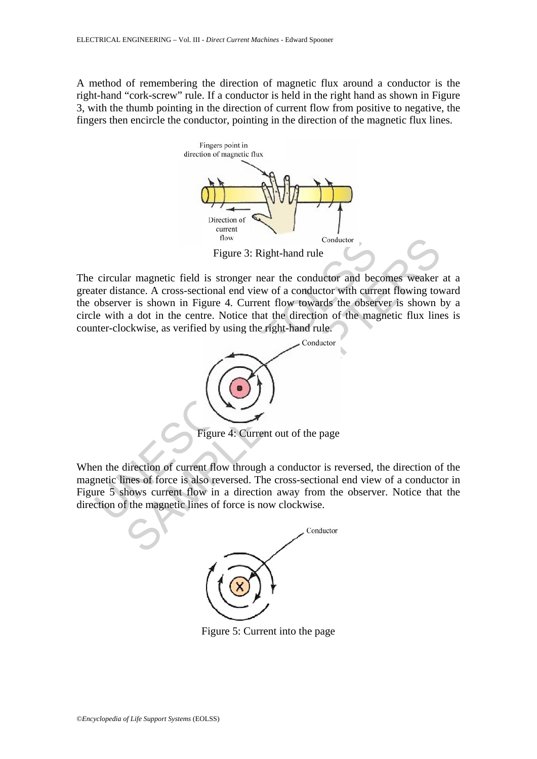A method of remembering the direction of magnetic flux around a conductor is the right-hand "cork-screw" rule. If a conductor is held in the right hand as shown in Figure 3, with the thumb pointing in the direction of current flow from positive to negative, the fingers then encircle the conductor, pointing in the direction of the magnetic flux lines.



The circular magnetic field is stronger near the conductor and becomes weaker at a greater distance. A cross-sectional end view of a conductor with current flowing toward the observer is shown in Figure 4. Current flow towards the observer is shown by a circle with a dot in the centre. Notice that the direction of the magnetic flux lines is counter-clockwise, as verified by using the right-hand rule.



When the direction of current flow through a conductor is reversed, the direction of the magnetic lines of force is also reversed. The cross-sectional end view of a conductor in Figure 5 shows current flow in a direction away from the observer. Notice that the direction of the magnetic lines of force is now clockwise.



Figure 5: Current into the page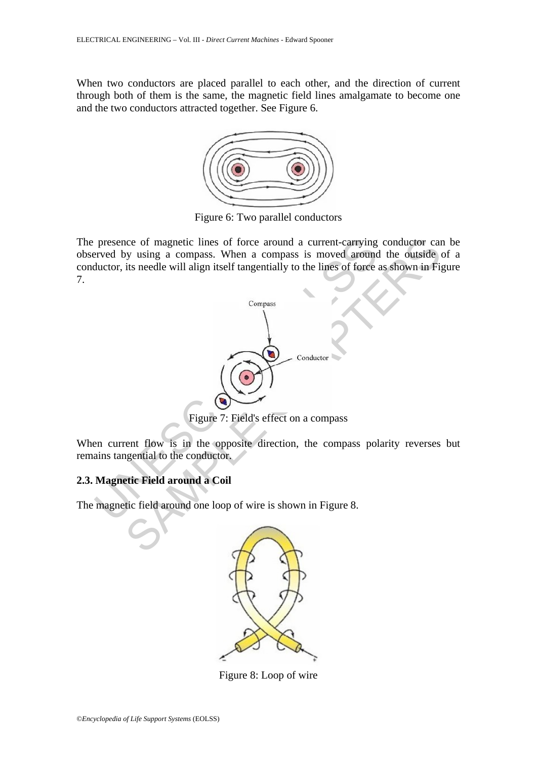When two conductors are placed parallel to each other, and the direction of current through both of them is the same, the magnetic field lines amalgamate to become one and the two conductors attracted together. See Figure 6.



Figure 6: Two parallel conductors

The presence of magnetic lines of force around a current-carrying conductor can be observed by using a compass. When a compass is moved around the outside of a conductor, its needle will align itself tangentially to the lines of force as shown in Figure 7.



Figure 7: Field's effect on a compass

When current flow is in the opposite direction, the compass polarity reverses but remains tangential to the conductor.

## **2.3. Magnetic Field around a Coil**

The magnetic field around one loop of wire is shown in Figure 8.



Figure 8: Loop of wire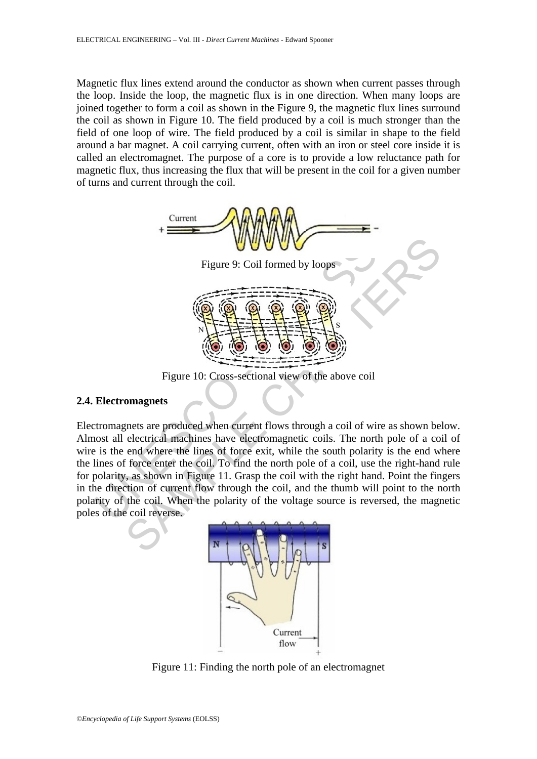Magnetic flux lines extend around the conductor as shown when current passes through the loop. Inside the loop, the magnetic flux is in one direction. When many loops are joined together to form a coil as shown in the Figure 9, the magnetic flux lines surround the coil as shown in Figure 10. The field produced by a coil is much stronger than the field of one loop of wire. The field produced by a coil is similar in shape to the field around a bar magnet. A coil carrying current, often with an iron or steel core inside it is called an electromagnet. The purpose of a core is to provide a low reluctance path for magnetic flux, thus increasing the flux that will be present in the coil for a given number of turns and current through the coil.



Figure 10: Cross-sectional view of the above coil

# **2.4. Electromagnets**

Electromagnets are produced when current flows through a coil of wire as shown below. Almost all electrical machines have electromagnetic coils. The north pole of a coil of wire is the end where the lines of force exit, while the south polarity is the end where the lines of force enter the coil. To find the north pole of a coil, use the right-hand rule for polarity, as shown in Figure 11. Grasp the coil with the right hand. Point the fingers in the direction of current flow through the coil, and the thumb will point to the north polarity of the coil. When the polarity of the voltage source is reversed, the magnetic poles of the coil reverse.



Figure 11: Finding the north pole of an electromagnet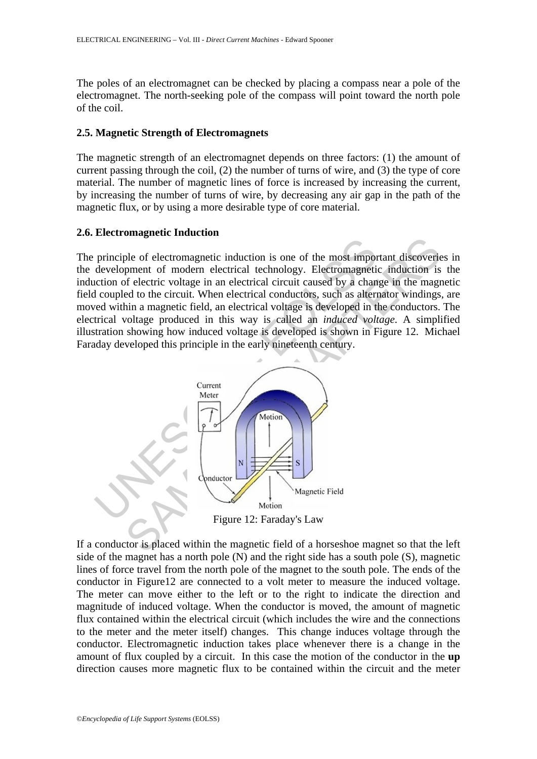The poles of an electromagnet can be checked by placing a compass near a pole of the electromagnet. The north-seeking pole of the compass will point toward the north pole of the coil.

#### **2.5. Magnetic Strength of Electromagnets**

The magnetic strength of an electromagnet depends on three factors: (1) the amount of current passing through the coil, (2) the number of turns of wire, and (3) the type of core material. The number of magnetic lines of force is increased by increasing the current, by increasing the number of turns of wire, by decreasing any air gap in the path of the magnetic flux, or by using a more desirable type of core material.

#### **2.6. Electromagnetic Induction**

The principle of electromagnetic induction is one of the most important discoveries in the development of modern electrical technology. Electromagnetic induction is the induction of electric voltage in an electrical circuit caused by a change in the magnetic field coupled to the circuit. When electrical conductors, such as alternator windings, are moved within a magnetic field, an electrical voltage is developed in the conductors. The electrical voltage produced in this way is called an *induced voltage*. A simplified illustration showing how induced voltage is developed is shown in Figure 12. Michael Faraday developed this principle in the early nineteenth century.



If a conductor is placed within the magnetic field of a horseshoe magnet so that the left side of the magnet has a north pole (N) and the right side has a south pole (S), magnetic lines of force travel from the north pole of the magnet to the south pole. The ends of the conductor in Figure12 are connected to a volt meter to measure the induced voltage. The meter can move either to the left or to the right to indicate the direction and magnitude of induced voltage. When the conductor is moved, the amount of magnetic flux contained within the electrical circuit (which includes the wire and the connections to the meter and the meter itself) changes. This change induces voltage through the conductor. Electromagnetic induction takes place whenever there is a change in the amount of flux coupled by a circuit. In this case the motion of the conductor in the **up** direction causes more magnetic flux to be contained within the circuit and the meter